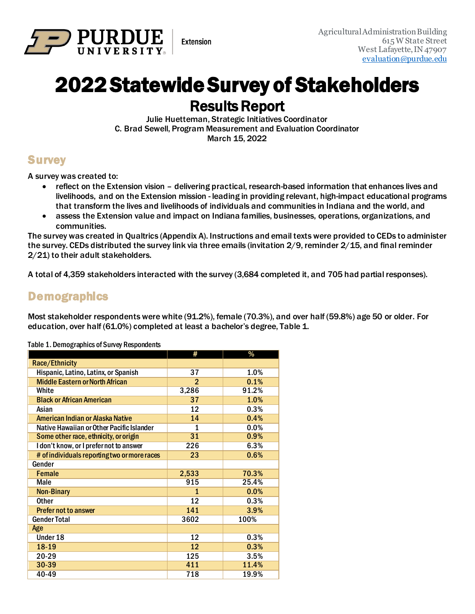

# 2022 Statewide Survey of Stakeholders

**Extension** 

**Results Report**<br>Julie Huetteman, Strategic Initiatives Coordinator C. Brad Sewell, Program Measurement and Evaluation Coordinator March 15, 2022

### **Survey**

A survey was created to:

- reflect on the Extension vision delivering practical, research-based information that enhances lives and livelihoods, and on the Extension mission - leading in providing relevant, high-impact educational programs that transform the lives and livelihoods of individuals and communities in Indiana and the world, and
- assess the Extension value and impact on Indiana families, businesses, operations, organizations, and communities.

The survey was created in Qualtrics (Appendix A). Instructions and email texts were provided to CEDs to administer the survey. CEDs distributed the survey link via three emails (invitation 2/9, reminder 2/15, and final reminder 2/21) to their adult stakeholders.

A total of 4,359 stakeholders interacted with the survey (3,684 completed it, and 705 had partial responses).

## **Demographics**

Most stakeholder respondents were white (91.2%), female (70.3%), and over half (59.8%) age 50 or older. For education, over half (61.0%) completed at least a bachelor's degree, Table 1.

|                                              | #              | $\overline{\%}$ |
|----------------------------------------------|----------------|-----------------|
| Race/Ethnicity                               |                |                 |
| Hispanic, Latino, Latinx, or Spanish         | 37             | 1.0%            |
| <b>Middle Eastern or North African</b>       | $\overline{2}$ | 0.1%            |
| White                                        | 3,286          | 91.2%           |
| <b>Black or African American</b>             | 37             | 1.0%            |
| Asian                                        | 12             | 0.3%            |
| American Indian or Alaska Native             | 14             | 0.4%            |
| Native Hawaiian or Other Pacific Islander    | 1              | 0.0%            |
| Some other race, ethnicity, or origin        | 31             | 0.9%            |
| I don't know, or I prefer not to answer      | 226            | 6.3%            |
| # of individuals reporting two or more races | 23             | 0.6%            |
| Gender                                       |                |                 |
| <b>Female</b>                                | 2,533          | 70.3%           |
| Male                                         | 915            | 25.4%           |
| <b>Non-Binary</b>                            | $\mathbf{1}$   | 0.0%            |
| <b>Other</b>                                 | 12             | 0.3%            |
| <b>Prefer not to answer</b>                  | 141            | 3.9%            |
| <b>Gender Total</b>                          | 3602           | 100%            |
| Age                                          |                |                 |
| Under 18                                     | 12             | 0.3%            |
| 18-19                                        | 12             | 0.3%            |
| $20 - 29$                                    | 125            | 3.5%            |
| 30-39                                        | 411            | 11.4%           |
| 40-49                                        | 718            | 19.9%           |

Table 1. Demographics of Survey Respondents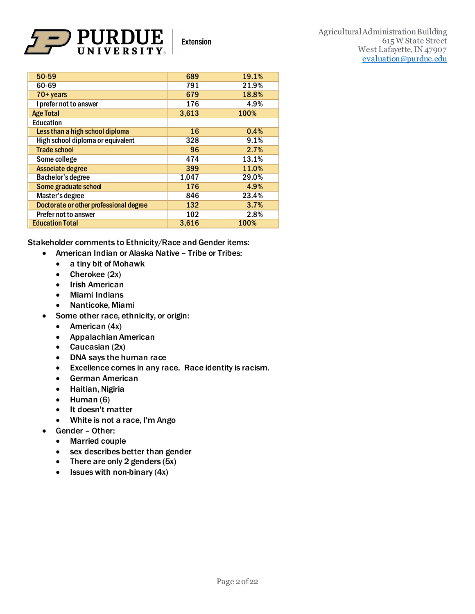

| 50-59                                  | 689   | 19.1% |
|----------------------------------------|-------|-------|
| 60-69                                  | 791   | 21.9% |
| $70 + years$                           | 679   | 18.8% |
| I prefer not to answer                 | 176   | 4.9%  |
| <b>Age Total</b>                       | 3,613 | 100%  |
| <b>Education</b>                       |       |       |
| Less than a high school diploma        | 16    | 0.4%  |
| High school diploma or equivalent      | 328   | 9.1%  |
| <b>Trade school</b>                    | 96    | 2.7%  |
| Some college                           | 474   | 13.1% |
| Associate degree                       | 399   | 11.0% |
| <b>Bachelor's degree</b>               | 1,047 | 29.0% |
| Some graduate school                   | 176   | 4.9%  |
| Master's degree                        | 846   | 23.4% |
| Doctorate or other professional degree | 132   | 3.7%  |
| Prefer not to answer                   | 102   | 2.8%  |
| <b>Education Total</b>                 | 3,616 | 100%  |
|                                        |       |       |

Stakeholder comments to Ethnicity/Race and Gender items:

- American Indian or Alaska Native Tribe or Tribes:
	- a tiny bit of Mohawk
	- Cherokee (2x)
	- Irish American
	- Miami Indians
	- Nanticoke, Miami
- Some other race, ethnicity, or origin:
	- American (4x)
	- Appalachian American
	- Caucasian (2x)
	- DNA says the human race
	- Excellence comes in any race. Race identity is racism.
	- German American
	- Haitian, Nigiria
	- Human (6)
	- It doesn't matter
	- White is not a race, I'm Ango
- Gender Other:
	- Married couple
	- sex describes better than gender
	- There are only 2 genders (5x)
	- Issues with non-binary (4x)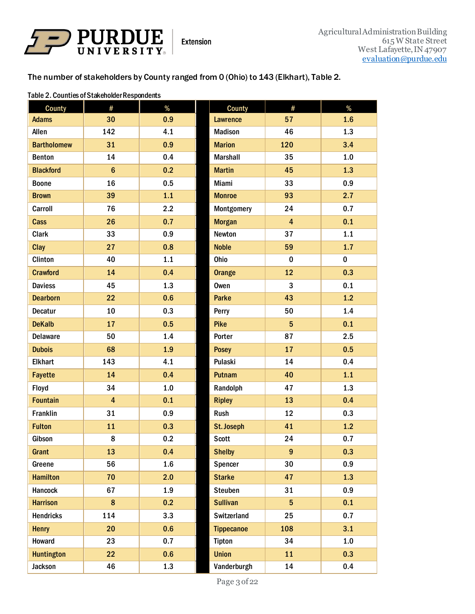

The number of stakeholders by County ranged from 0 (Ohio) to 143 (Elkhart), Table 2.

#### Table 2. Counties of Stakeholder Respondents

| <b>County</b>      | #                       | $\%$ | <b>County</b>     | #               | $\%$     |
|--------------------|-------------------------|------|-------------------|-----------------|----------|
| <b>Adams</b>       | 30                      | 0.9  | <b>Lawrence</b>   | 57              | 1.6      |
| Allen              | 142                     | 4.1  | <b>Madison</b>    | 46              | 1.3      |
| <b>Bartholomew</b> | 31                      | 0.9  | <b>Marion</b>     | 120             | 3.4      |
| <b>Benton</b>      | 14                      | 0.4  | <b>Marshall</b>   | 35              | 1.0      |
| <b>Blackford</b>   | $6\phantom{1}$          | 0.2  | <b>Martin</b>     | 45              | 1.3      |
| <b>Boone</b>       | 16                      | 0.5  | Miami             | 33              | 0.9      |
| <b>Brown</b>       | 39                      | 1.1  | <b>Monroe</b>     | 93              | 2.7      |
| Carroll            | 76                      | 2.2  | Montgomery        | 24              | 0.7      |
| Cass               | 26                      | 0.7  | <b>Morgan</b>     | $\overline{4}$  | 0.1      |
| <b>Clark</b>       | 33                      | 0.9  | Newton            | 37              | 1.1      |
| Clay               | 27                      | 0.8  | <b>Noble</b>      | 59              | 1.7      |
| Clinton            | 40                      | 1.1  | Ohio              | $\bf{0}$        | $\bf{0}$ |
| <b>Crawford</b>    | 14                      | 0.4  | <b>Orange</b>     | 12              | 0.3      |
| <b>Daviess</b>     | 45                      | 1.3  | Owen              | 3               | 0.1      |
| <b>Dearborn</b>    | 22                      | 0.6  | <b>Parke</b>      | 43              | 1.2      |
| <b>Decatur</b>     | $10\,$                  | 0.3  | Perry             | 50              | 1.4      |
| <b>DeKalb</b>      | 17                      | 0.5  | <b>Pike</b>       | $5\phantom{.0}$ | 0.1      |
| <b>Delaware</b>    | 50                      | 1.4  | Porter            | 87              | 2.5      |
| <b>Dubois</b>      | 68                      | 1.9  | <b>Posey</b>      | 17              | 0.5      |
| <b>Elkhart</b>     | 143                     | 4.1  | Pulaski           | 14              | 0.4      |
| Fayette            | 14                      | 0.4  | Putnam            | 40              | 1.1      |
| Floyd              | 34                      | 1.0  | Randolph          | 47              | 1.3      |
| <b>Fountain</b>    | $\overline{\mathbf{4}}$ | 0.1  | <b>Ripley</b>     | 13              | 0.4      |
| Franklin           | 31                      | 0.9  | Rush              | 12              | 0.3      |
| <b>Fulton</b>      | 11                      | 0.3  | St. Joseph        | 41              | 1.2      |
| Gibson             | 8                       | 0.2  | <b>Scott</b>      | 24              | 0.7      |
| Grant              | 13                      | 0.4  | <b>Shelby</b>     | 9               | 0.3      |
| Greene             | 56                      | 1.6  | Spencer           | 30              | 0.9      |
| <b>Hamilton</b>    | 70                      | 2.0  | <b>Starke</b>     | 47              | 1.3      |
| Hancock            | 67                      | 1.9  | <b>Steuben</b>    | 31              | 0.9      |
| <b>Harrison</b>    | $\bf 8$                 | 0.2  | <b>Sullivan</b>   | 5               | 0.1      |
| <b>Hendricks</b>   | 114                     | 3.3  | Switzerland       | 25              | 0.7      |
| <b>Henry</b>       | 20                      | 0.6  | <b>Tippecanoe</b> | 108             | 3.1      |
| Howard             | 23                      | 0.7  | Tipton            | 34              | 1.0      |
| <b>Huntington</b>  | 22                      | 0.6  | <b>Union</b>      | 11              | 0.3      |
| <b>Jackson</b>     | 46                      | 1.3  | Vanderburgh       | 14              | 0.4      |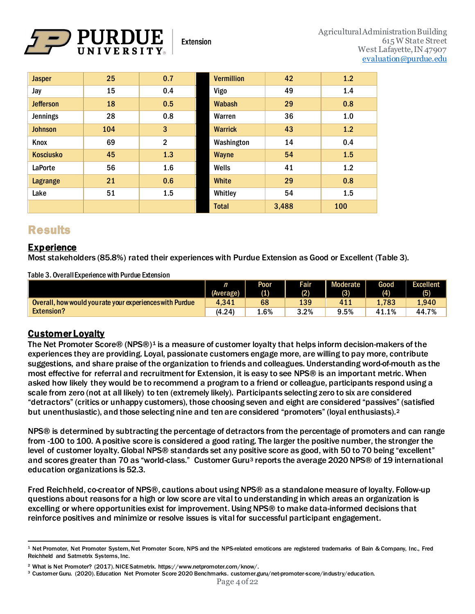

| <b>Jasper</b>    | 25  | 0.7            | <b>Vermillion</b> | 42    | 1.2 |
|------------------|-----|----------------|-------------------|-------|-----|
| Jay              | 15  | 0.4            | Vigo              | 49    | 1.4 |
| <b>Jefferson</b> | 18  | 0.5            | <b>Wabash</b>     | 29    | 0.8 |
| <b>Jennings</b>  | 28  | 0.8            | Warren            | 36    | 1.0 |
| <b>Johnson</b>   | 104 | 3              | <b>Warrick</b>    | 43    | 1.2 |
| Knox             | 69  | $\overline{2}$ | Washington        | 14    | 0.4 |
| <b>Kosciusko</b> | 45  | 1.3            | Wayne             | 54    | 1.5 |
| <b>LaPorte</b>   | 56  | 1.6            | Wells             | 41    | 1.2 |
| Lagrange         | 21  | 0.6            | White             | 29    | 0.8 |
| Lake             | 51  | 1.5            | Whitley           | 54    | 1.5 |
|                  |     |                | <b>Total</b>      | 3,488 | 100 |

### Results

#### **Experience**

Most stakeholders (85.8%) rated their experiences with Purdue Extension as Good or Excellent (Table 3).

Table 3. Overall Experience with Purdue Extension

|                                                          |           | Poor | Fair' | Moderate | Good  | <b>Excellent</b> |
|----------------------------------------------------------|-----------|------|-------|----------|-------|------------------|
|                                                          | (Average) | (1)  | (2)   | (3)      | (4)   | (5)              |
| Overall, how would you rate your experiences with Purdue | 4,341     | 68   | 139   | 41.      | 1,783 | 1,940            |
| <b>Extension?</b>                                        | (4.24)    | 1.6% | 3.2%  | $9.5\%$  | 41.1% | 44.7%            |

### Customer Loyalty

The Net Promoter Score® (NPS®)<sup>[1](#page-3-0)</sup> is a measure of customer loyalty that helps inform decision-makers of the experiences they are providing. Loyal, passionate customers engage more, are willing to pay more, contribute suggestions, and share praise of the organization to friends and colleagues. Understanding word-of-mouth as the most effective for referral and recruitment for Extension, it is easy to see NPS® is an important metric. When asked how likely they would be to recommend a program to a friend or colleague, participants respond using a scale from zero (not at all likely) to ten (extremely likely). Participants selecting zero to six are considered "detractors" (critics or unhappy customers), those choosing seven and eight are considered "passives" (satisfied but unenthusiastic), and those selecting nine and ten are considered "promoters" (loyal enthusiasts).<sup>[2](#page-3-1)</sup>

NPS® is determined by subtracting the percentage of detractors from the percentage of promoters and can range from -100 to 100. A positive score is considered a good rating. The larger the positive number, the stronger the level of customer loyalty. Global NPS® standards set any positive score as good, with 50 to 70 being "excellent" and scores greater than 70 as "world-class." Customer Guru<sup>3</sup> reports the average 2020 NPS® of 19 international education organizations is 52.3.

Fred Reichheld, co-creator of NPS®, cautions about using NPS® as a standalone measure of loyalty. Follow-up questions about reasons for a high or low score are vital to understanding in which areas an organization is excelling or where opportunities exist for improvement. Using NPS® to make data-informed decisions that reinforce positives and minimize or resolve issues is vital for successful participant engagement.

<span id="page-3-0"></span><sup>1</sup> Net Promoter, Net Promoter System, Net Promoter Score, NPS and the NPS-related emoticons are registered trademarks of Bain & Company, Inc., Fred Reichheld and Satmetrix Systems, Inc.

<span id="page-3-1"></span><sup>2</sup> What is Net Promoter? (2017). NICE Satmetrix. https://www.netpromoter.com/know/.

<span id="page-3-2"></span><sup>3</sup> Customer Guru. (2020). Education Net Promoter Score 2020 Benchmarks. customer.guru/net-promoter-score/industry/education.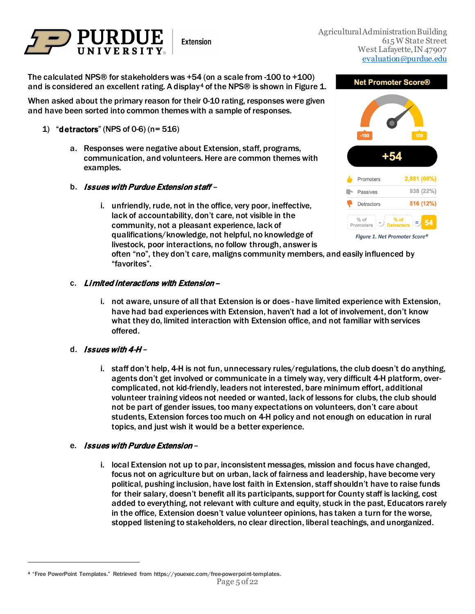

The calculated NPS® for stakeholders was +54 (on a scale from -100 to +100) and is considered an excellent rating. A display<sup>[4](#page-4-0)</sup> of the NPS® is shown in Figure 1.

When asked about the primary reason for their 0-10 rating, responses were given and have been sorted into common themes with a sample of responses.

- 1) "detractors" (NPS of 0-6)  $(n= 516)$ 
	- a. Responses were negative about Extension, staff, programs, communication, and volunteers. Here are common themes with examples.
	- b. **Issues with Purdue Extension staff**
		- i. unfriendly, rude, not in the office, very poor, ineffective, lack of accountability, don't care, not visible in the community, not a pleasant experience, lack of qualifications/knowledge, not helpful, no knowledge of livestock, poor interactions, no follow through, answer is



often "no", they don't care, maligns community members, and easily influenced by "favorites".

#### c. Limited interactions with Extension –

i. not aware, unsure of all that Extension is or does - have limited experience with Extension, have had bad experiences with Extension, haven't had a lot of involvement, don't know what they do, limited interaction with Extension office, and not familiar with services offered.

#### d. **Issues with 4-H-**

i. staff don't help, 4-H is not fun, unnecessary rules/regulations, the club doesn't do anything, agents don't get involved or communicate in a timely way, very difficult 4-H platform, overcomplicated, not kid-friendly, leaders not interested, bare minimum effort, additional volunteer training videos not needed or wanted, lack of lessons for clubs, the club should not be part of gender issues, too many expectations on volunteers, don't care about students, Extension forces too much on 4-H policy and not enough on education in rural topics, and just wish it would be a better experience.

#### e. Issues with Purdue Extension –

i. local Extension not up to par, inconsistent messages, mission and focus have changed, focus not on agriculture but on urban, lack of fairness and leadership, have become very political, pushing inclusion, have lost faith in Extension, staff shouldn't have to raise funds for their salary, doesn't benefit all its participants, support for County staff is lacking, cost added to everything, not relevant with culture and equity, stuck in the past, Educators rarely in the office, Extension doesn't value volunteer opinions, has taken a turn for the worse, stopped listening to stakeholders, no clear direction, liberal teachings, and unorganized.

<span id="page-4-0"></span><sup>4</sup> "Free PowerPoint Templates." Retrieved from https://youexec.com/free-powerpoint-templates.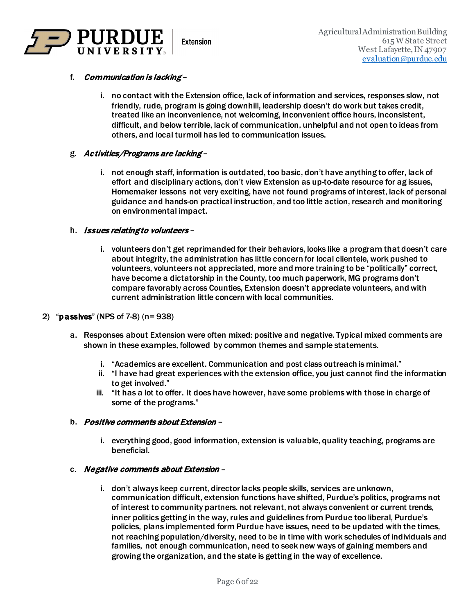

#### f. Communication is lacking –

i. no contact with the Extension office, lack of information and services, responses slow, not friendly, rude, program is going downhill, leadership doesn't do work but takes credit, treated like an inconvenience, not welcoming, inconvenient office hours, inconsistent, difficult, and below terrible, lack of communication, unhelpful and not open to ideas from others, and local turmoil has led to communication issues.

#### g. Activities/Programs are lacking –

i. not enough staff, information is outdated, too basic, don't have anything to offer, lack of effort and disciplinary actions, don't view Extension as up-to-date resource for ag issues, Homemaker lessons not very exciting, have not found programs of interest, lack of personal guidance and hands-on practical instruction, and too little action, research and monitoring on environmental impact.

#### h. **Issues relating to volunteers** -

i. volunteers don't get reprimanded for their behaviors, looks like a program that doesn't care about integrity, the administration has little concern for local clientele, work pushed to volunteers, volunteers not appreciated, more and more training to be "politically" correct, have become a dictatorship in the County, too much paperwork, MG programs don't compare favorably across Counties, Extension doesn't appreciate volunteers, and with current administration little concern with local communities.

#### 2) "passives" (NPS of 7-8) (n= 938)

- a. Responses about Extension were often mixed: positive and negative. Typical mixed comments are shown in these examples, followed by common themes and sample statements.
	- i. "Academics are excellent. Communication and post class outreach is minimal."
	- ii. "I have had great experiences with the extension office, you just cannot find the information to get involved."
	- iii. "It has a lot to offer. It does have however, have some problems with those in charge of some of the programs."

#### b. Positive comments about Extension –

i. everything good, good information, extension is valuable, quality teaching, programs are beneficial.

#### c. Negative comments about Extension –

i. don't always keep current, director lacks people skills, services are unknown, communication difficult, extension functions have shifted, Purdue's politics, programs not of interest to community partners. not relevant, not always convenient or current trends, inner politics getting in the way, rules and guidelines from Purdue too liberal, Purdue's policies, plans implemented form Purdue have issues, need to be updated with the times, not reaching population/diversity, need to be in time with work schedules of individuals and families, not enough communication, need to seek new ways of gaining members and growing the organization, and the state is getting in the way of excellence.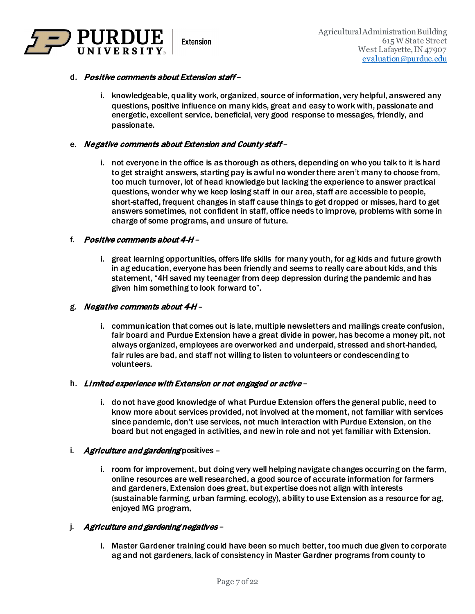

#### d. Positive comments about Extension staff –

i. knowledgeable, quality work, organized, source of information, very helpful, answered any questions, positive influence on many kids, great and easy to work with, passionate and energetic, excellent service, beneficial, very good response to messages, friendly, and passionate.

#### e. Negative comments about Extension and County staff –

i. not everyone in the office is as thorough as others, depending on who you talk to it is hard to get straight answers, starting pay is awful no wonder there aren't many to choose from, too much turnover, lot of head knowledge but lacking the experience to answer practical questions, wonder why we keep losing staff in our area, staff are accessible to people, short-staffed, frequent changes in staff cause things to get dropped or misses, hard to get answers sometimes, not confident in staff, office needs to improve, problems with some in charge of some programs, and unsure of future.

#### f. Positive comments about 4-H –

i. great learning opportunities, offers life skills for many youth, for ag kids and future growth in ag education, everyone has been friendly and seems to really care about kids, and this statement, "4H saved my teenager from deep depression during the pandemic and has given him something to look forward to".

#### g. Negative comments about 4-H –

i. communication that comes out is late, multiple newsletters and mailings create confusion, fair board and Purdue Extension have a great divide in power, has become a money pit, not always organized, employees are overworked and underpaid, stressed and short-handed, fair rules are bad, and staff not willing to listen to volunteers or condescending to volunteers.

#### h. Limited experience with Extension or not engaged or active -

i. do not have good knowledge of what Purdue Extension offers the general public, need to know more about services provided, not involved at the moment, not familiar with services since pandemic, don't use services, not much interaction with Purdue Extension, on the board but not engaged in activities, and new in role and not yet familiar with Extension.

#### i. Agriculture and gardening positives -

i. room for improvement, but doing very well helping navigate changes occurring on the farm, online resources are well researched, a good source of accurate information for farmers and gardeners, Extension does great, but expertise does not align with interests (sustainable farming, urban farming, ecology), ability to use Extension as a resource for ag, enjoyed MG program,

#### j. Agriculture and gardening negatives -

i. Master Gardener training could have been so much better, too much due given to corporate ag and not gardeners, lack of consistency in Master Gardner programs from county to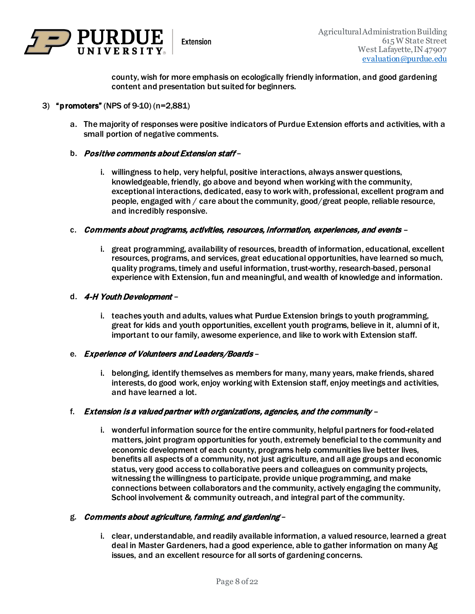

county, wish for more emphasis on ecologically friendly information, and good gardening content and presentation but suited for beginners.

#### 3) "promoters" (NPS of 9-10) (n=2,881)

a. The majority of responses were positive indicators of Purdue Extension efforts and activities, with a small portion of negative comments.

#### b. Positive comments about Extension staff –

i. willingness to help, very helpful, positive interactions, always answer questions, knowledgeable, friendly, go above and beyond when working with the community, exceptional interactions, dedicated, easy to work with, professional, excellent program and people, engaged with / care about the community, good/great people, reliable resource, and incredibly responsive.

#### c. Comments about programs, activities, resources, information, experiences, and events –

i. great programming, availability of resources, breadth of information, educational, excellent resources, programs, and services, great educational opportunities, have learned so much, quality programs, timely and useful information, trust-worthy, research-based, personal experience with Extension, fun and meaningful, and wealth of knowledge and information.

#### d. 4-H Youth Development –

i. teaches youth and adults, values what Purdue Extension brings to youth programming, great for kids and youth opportunities, excellent youth programs, believe in it, alumni of it, important to our family, awesome experience, and like to work with Extension staff.

#### e. Experience of Volunteers and Leaders/Boards –

i. belonging, identify themselves as members for many, many years, make friends, shared interests, do good work, enjoy working with Extension staff, enjoy meetings and activities, and have learned a lot.

#### f. Extension is a valued partner with organizations, agencies, and the community –

i. wonderful information source for the entire community, helpful partners for food-related matters, joint program opportunities for youth, extremely beneficial to the community and economic development of each county, programs help communities live better lives, benefits all aspects of a community, not just agriculture, and all age groups and economic status, very good access to collaborative peers and colleagues on community projects, witnessing the willingness to participate, provide unique programming, and make connections between collaborators and the community, actively engaging the community, School involvement & community outreach, and integral part of the community.

#### g. Comments about agriculture, farming, and gardening –

i. clear, understandable, and readily available information, a valued resource, learned a great deal in Master Gardeners, had a good experience, able to gather information on many Ag issues, and an excellent resource for all sorts of gardening concerns.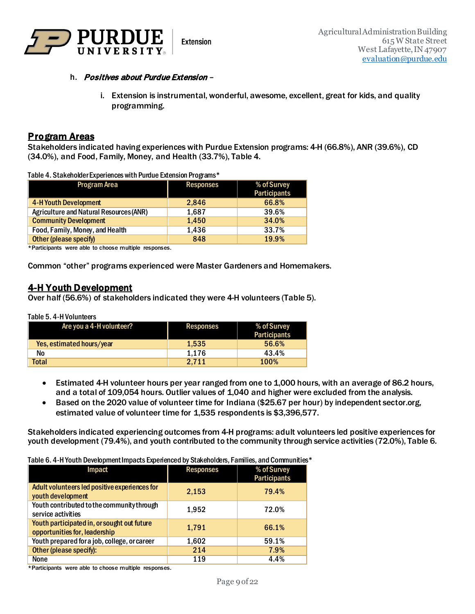

#### h. Positives about Purdue Extension -

i. Extension is instrumental, wonderful, awesome, excellent, great for kids, and quality programming.

#### Program Areas

Stakeholders indicated having experiences with Purdue Extension programs: 4-H (66.8%), ANR (39.6%), CD (34.0%), and Food, Family, Money, and Health (33.7%), Table 4.

Table 4. Stakeholder Experiences with Purdue Extension Programs\*

| Program Area                                   | <b>Responses</b> | % of Survey<br><b>Participants</b> |
|------------------------------------------------|------------------|------------------------------------|
| <b>4-H Youth Development</b>                   | 2,846            | 66.8%                              |
| <b>Agriculture and Natural Resources (ANR)</b> | 1.687            | 39.6%                              |
| <b>Community Development</b>                   | 1.450            | 34.0%                              |
| Food, Family, Money, and Health                | 1,436            | 33.7%                              |
| Other (please specify)                         | 848              | 19.9%                              |

\*Participants were able to choose multiple responses.

Common "other" programs experienced were Master Gardeners and Homemakers.

#### 4-H Youth Development

Over half (56.6%) of stakeholders indicated they were 4-H volunteers (Table 5).

Table 5. 4-H Volunteers

| Are you a 4-H volunteer?  | <b>Responses</b> | % of Survey         |
|---------------------------|------------------|---------------------|
|                           |                  | <b>Participants</b> |
| Yes, estimated hours/year | 1.535            | $56.6\%$            |
| No                        | 1.176            | 43.4%               |
| <b>Total</b>              | 2.711            | 100%                |

- Estimated 4-H volunteer hours per year ranged from one to 1,000 hours, with an average of 86.2 hours, and a total of 109,054 hours. Outlier values of 1,040 and higher were excluded from the analysis.
- Based on the 2020 value of volunteer time for Indiana (\$25.67 per hour) by independent sector.org, estimated value of volunteer time for 1,535 respondents is \$3,396,577.

Stakeholders indicated experiencing outcomes from 4-H programs: adult volunteers led positive experiences for youth development (79.4%), and youth contributed to the community through service activities (72.0%), Table 6.

Table 6.4-H Youth Development Impacts Experienced by Stakeholders, Families, and Communities\*

| Impact                                                                       | <b>Responses</b> | % of Survey<br><b>Participants</b> |
|------------------------------------------------------------------------------|------------------|------------------------------------|
| Adult volunteers led positive experiences for<br>youth development           | 2,153            | 79.4%                              |
| Youth contributed to the community through<br>service activities             | 1,952            | 72.0%                              |
| Youth participated in, or sought out future<br>opportunities for, leadership | 1,791            | 66.1%                              |
| Youth prepared for a job, college, or career                                 | 1,602            | 59.1%                              |
| Other (please specify):                                                      | 214              | 7.9%                               |
| <b>None</b>                                                                  | 119              | 4.4%                               |

\*Participants were able to choose multiple responses.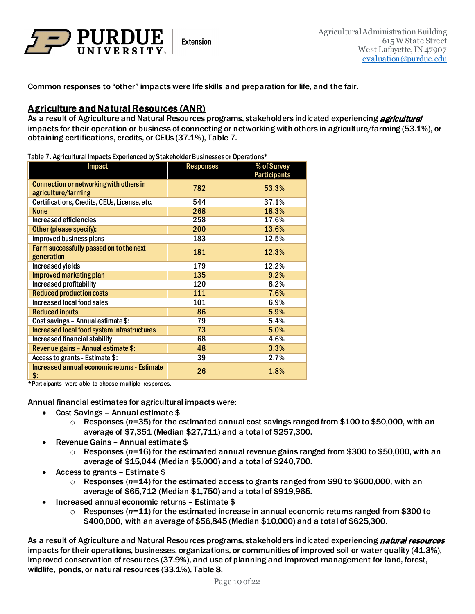

Common responses to "other" impacts were life skills and preparation for life, and the fair.

#### Agriculture and Natural Resources (ANR)

As a result of Agriculture and Natural Resources programs, stakeholders indicated experiencing *agricultural* impacts for their operation or business of connecting or networking with others in agriculture/farming (53.1%), or obtaining certifications, credits, or CEUs (37.1%), Table 7.

Table 7. Agricultural Impacts Experienced by Stakeholder Businesses or Operations\*

| Impact                                                         | <b>Responses</b> | % of Survey<br><b>Participants</b> |
|----------------------------------------------------------------|------------------|------------------------------------|
| Connection or networking with others in<br>agriculture/farming | 782              | 53.3%                              |
| Certifications, Credits, CEUs, License, etc.                   | 544              | 37.1%                              |
| <b>None</b>                                                    | 268              | 18.3%                              |
| Increased efficiencies                                         | 258              | 17.6%                              |
| Other (please specify):                                        | 200              | 13.6%                              |
| Improved business plans                                        | 183              | 12.5%                              |
| Farm successfully passed on to the next<br>generation          | 181              | 12.3%                              |
| Increased yields                                               | 179              | 12.2%                              |
| Improved marketing plan                                        | 135              | 9.2%                               |
| Increased profitability                                        | 120              | 8.2%                               |
| <b>Reduced production costs</b>                                | 111              | 7.6%                               |
| Increased local food sales                                     | 101              | 6.9%                               |
| <b>Reduced inputs</b>                                          | 86               | 5.9%                               |
| Cost savings - Annual estimate \$:                             | 79               | 5.4%                               |
| <b>Increased local food system infrastructures</b>             | 73               | 5.0%                               |
| <b>Increased financial stability</b>                           | 68               | 4.6%                               |
| Revenue gains - Annual estimate \$:                            | 48               | 3.3%                               |
| Access to grants - Estimate \$:                                | 39               | 2.7%                               |
| Increased annual economic returns - Estimate<br>\$:            | 26               | 1.8%                               |

\*Participants were able to choose multiple responses.

Annual financial estimates for agricultural impacts were:

- Cost Savings Annual estimate \$
	- o Responses (*n*=35) for the estimated annual cost savings ranged from \$100 to \$50,000, with an average of \$7,351 (Median \$27,711) and a total of \$257,300.
- Revenue Gains Annual estimate \$
	- o Responses (*n*=16) for the estimated annual revenue gains ranged from \$300 to \$50,000, with an average of \$15,044 (Median \$5,000) and a total of \$240,700.
- Access to grants Estimate \$
	- o Responses (*n*=14) for the estimated access to grants ranged from \$90 to \$600,000, with an average of \$65,712 (Median \$1,750) and a total of \$919,965.
- Increased annual economic returns Estimate \$
	- o Responses (*n*=11) for the estimated increase in annual economic returns ranged from \$300 to \$400,000, with an average of \$56,845 (Median \$10,000) and a total of \$625,300.

As a result of Agriculture and Natural Resources programs, stakeholders indicated experiencing *natural resources* impacts for their operations, businesses, organizations, or communities of improved soil or water quality (41.3%), improved conservation of resources (37.9%), and use of planning and improved management for land, forest, wildlife, ponds, or natural resources (33.1%), Table 8.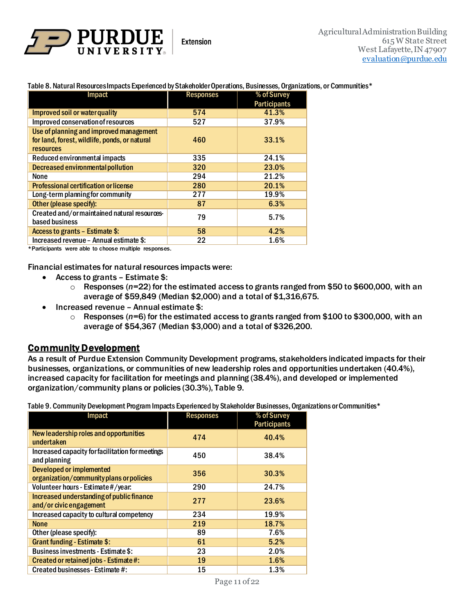

#### Table 8. Natural Resources Impacts Experienced by Stakeholder Operations, Businesses, Organizations, or Communities\*

| Impact                                                                                                | <b>Responses</b> | % of Survey         |
|-------------------------------------------------------------------------------------------------------|------------------|---------------------|
|                                                                                                       |                  | <b>Participants</b> |
| <b>Improved soil or water quality</b>                                                                 | 574              | 41.3%               |
| Improved conservation of resources                                                                    | 527              | 37.9%               |
| Use of planning and improved management<br>for land, forest, wildlife, ponds, or natural<br>resources | 460              | 33.1%               |
| Reduced environmental impacts                                                                         | 335              | 24.1%               |
| Decreased environmental pollution                                                                     | 320              | 23.0%               |
| None                                                                                                  | 294              | 21.2%               |
| Professional certification or license                                                                 | 280              | 20.1%               |
| Long-term planning for community                                                                      | 277              | 19.9%               |
| Other (please specify):                                                                               | 87               | 6.3%                |
| Created and/or maintained natural resources-<br>based business                                        | 79               | 5.7%                |
| Access to grants - Estimate \$:                                                                       | 58               | 4.2%                |
| Increased revenue - Annual estimate \$:                                                               | 22               | 1.6%                |

\*Participants were able to choose multiple responses.

Financial estimates for natural resources impacts were:

- Access to grants Estimate \$:
	- o Responses (*n*=22) for the estimated access to grants ranged from \$50 to \$600,000, with an average of \$59,849 (Median \$2,000) and a total of \$1,316,675.
- Increased revenue Annual estimate \$:
	- o Responses (*n*=6) for the estimated access to grants ranged from \$100 to \$300,000, with an average of \$54,367 (Median \$3,000) and a total of \$326,200.

#### Community Development

As a result of Purdue Extension Community Development programs, stakeholders indicated impacts for their businesses, organizations, or communities of new leadership roles and opportunities undertaken (40.4%), increased capacity for facilitation for meetings and planning (38.4%), and developed or implemented organization/community plans or policies (30.3%), Table 9.

| Impact                                                                      | <b>Responses</b> | % of Survey<br><b>Participants</b> |
|-----------------------------------------------------------------------------|------------------|------------------------------------|
| New leadership roles and opportunities<br>undertaken                        | 474              | 40.4%                              |
| Increased capacity for facilitation for meetings<br>and planning            | 450              | 38.4%                              |
| <b>Developed or implemented</b><br>organization/community plans or policies | 356              | 30.3%                              |
| Volunteer hours - Estimate #/year.                                          | 290              | 24.7%                              |
| Increased understanding of public finance<br>and/or civic engagement        | 277              | 23.6%                              |
| Increased capacity to cultural competency                                   | 234              | 19.9%                              |
| <b>None</b>                                                                 | 219              | 18.7%                              |
| Other (please specify):                                                     | 89               | 7.6%                               |
| <b>Grant funding - Estimate \$:</b>                                         | 61               | 5.2%                               |
| Business investments - Estimate \$:                                         | 23               | 2.0%                               |
| Created or retained jobs - Estimate #:                                      | 19               | 1.6%                               |
| Created businesses - Estimate #:                                            | 15               | 1.3%                               |

Table 9. Community Development Program Impacts Experienced by Stakeholder Businesses, Organizations or Communities\*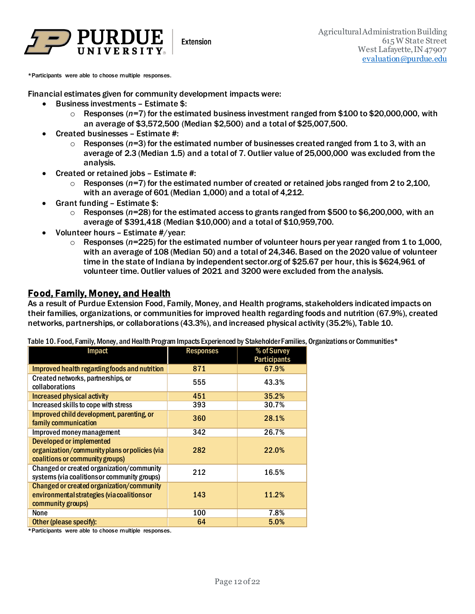

\*Participants were able to choose multiple responses.

Financial estimates given for community development impacts were:

- Business investments Estimate \$:
	- o Responses (*n*=7) for the estimated business investment ranged from \$100 to \$20,000,000, with an average of \$3,572,500 (Median \$2,500) and a total of \$25,007,500.
- Created businesses Estimate #:
	- o Responses (*n*=3) for the estimated number of businesses created ranged from 1 to 3, with an average of 2.3 (Median 1.5) and a total of 7. Outlier value of 25,000,000 was excluded from the analysis.
- Created or retained jobs Estimate #:
	- o Responses (*n*=7) for the estimated number of created or retained jobs ranged from 2 to 2,100, with an average of 601 (Median 1,000) and a total of 4,212.
- Grant funding Estimate \$:
	- o Responses (*n*=28) for the estimated access to grants ranged from \$500 to \$6,200,000, with an average of \$391,418 (Median \$10,000) and a total of \$10,959,700.
- Volunteer hours Estimate #/year:
	- o Responses (*n*=225) for the estimated number of volunteer hours per year ranged from 1 to 1,000, with an average of 108 (Median 50) and a total of 24,346. Based on the 2020 value of volunteer time in the state of Indiana by independent sector.org of \$25.67 per hour, this is \$624,961 of volunteer time. Outlier values of 2021 and 3200 were excluded from the analysis.

#### Food, Family, Money, and Health

As a result of Purdue Extension Food, Family, Money, and Health programs, stakeholders indicated impacts on their families, organizations, or communities for improved health regarding foods and nutrition (67.9%), created networks, partnerships, or collaborations (43.3%), and increased physical activity (35.2%), Table 10.

| <b>Impact</b>                                                                                                 | <b>Responses</b> | % of Survey<br><b>Participants</b> |
|---------------------------------------------------------------------------------------------------------------|------------------|------------------------------------|
| Improved health regarding foods and nutrition                                                                 | 871              | 67.9%                              |
| Created networks, partnerships, or<br>collaborations                                                          | 555              | 43.3%                              |
| Increased physical activity                                                                                   | 451              | 35.2%                              |
| Increased skills to cope with stress                                                                          | 393              | 30.7%                              |
| Improved child development, parenting, or<br>family communication                                             | 360              | 28.1%                              |
| Improved money management                                                                                     | 342              | 26.7%                              |
| Developed or implemented<br>organization/community plans or policies (via<br>coalitions or community groups)  | 282              | 22.0%                              |
| Changed or created organization/community<br>systems (via coalitions or community groups)                     | 212              | 16.5%                              |
| Changed or created organization/community<br>environmental strategies (via coalitions or<br>community groups) | 143              | 11.2%                              |
| <b>None</b>                                                                                                   | 100              | 7.8%                               |
| Other (please specify):                                                                                       | 64               | 5.0%                               |

Table 10. Food, Family, Money, and Health Program Impacts Experienced by Stakeholder Families, Organizations or Communities\*

\*Participants were able to choose multiple responses.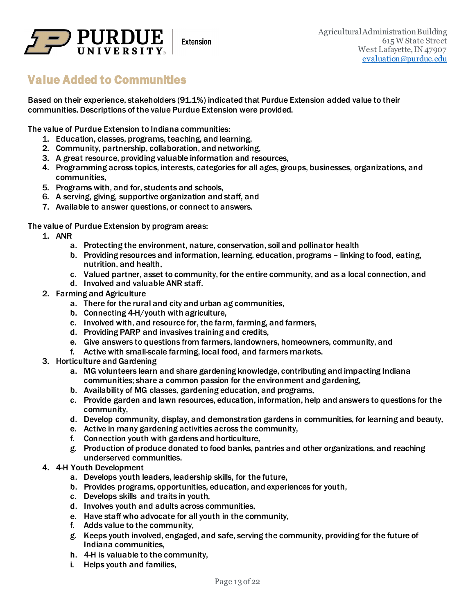

### Value Added to Communities

Based on their experience, stakeholders (91.1%) indicated that Purdue Extension added value to their communities. Descriptions of the value Purdue Extension were provided.

The value of Purdue Extension to Indiana communities:

- 1. Education, classes, programs, teaching, and learning,
- 2. Community, partnership, collaboration, and networking,
- 3. A great resource, providing valuable information and resources,
- 4. Programming across topics, interests, categories for all ages, groups, businesses, organizations, and communities,
- 5. Programs with, and for, students and schools,
- 6. A serving, giving, supportive organization and staff, and
- 7. Available to answer questions, or connect to answers.

The value of Purdue Extension by program areas:

- 1. ANR
	- a. Protecting the environment, nature, conservation, soil and pollinator health
	- b. Providing resources and information, learning, education, programs linking to food, eating, nutrition, and health,
	- c. Valued partner, asset to community, for the entire community, and as a local connection, and
	- d. Involved and valuable ANR staff.
- 2. Farming and Agriculture
	- a. There for the rural and city and urban ag communities,
	- b. Connecting 4-H/youth with agriculture,
	- c. Involved with, and resource for, the farm, farming, and farmers,
	- d. Providing PARP and invasives training and credits,
	- e. Give answers to questions from farmers, landowners, homeowners, community, and
	- f. Active with small-scale farming, local food, and farmers markets.
- 3. Horticulture and Gardening
	- a. MG volunteers learn and share gardening knowledge, contributing and impacting Indiana communities; share a common passion for the environment and gardening,
	- b. Availability of MG classes, gardening education, and programs,
	- c. Provide garden and lawn resources, education, information, help and answers to questions for the community,
	- d. Develop community, display, and demonstration gardens in communities, for learning and beauty,
	- e. Active in many gardening activities across the community,
	- f. Connection youth with gardens and horticulture,
	- g. Production of produce donated to food banks, pantries and other organizations, and reaching underserved communities.
- 4. 4-H Youth Development
	- a. Develops youth leaders, leadership skills, for the future,
	- b. Provides programs, opportunities, education, and experiences for youth,
	- c. Develops skills and traits in youth,
	- d. Involves youth and adults across communities,
	- e. Have staff who advocate for all youth in the community,
	- f. Adds value to the community,
	- g. Keeps youth involved, engaged, and safe, serving the community, providing for the future of Indiana communities,
	- h. 4-H is valuable to the community,
	- i. Helps youth and families,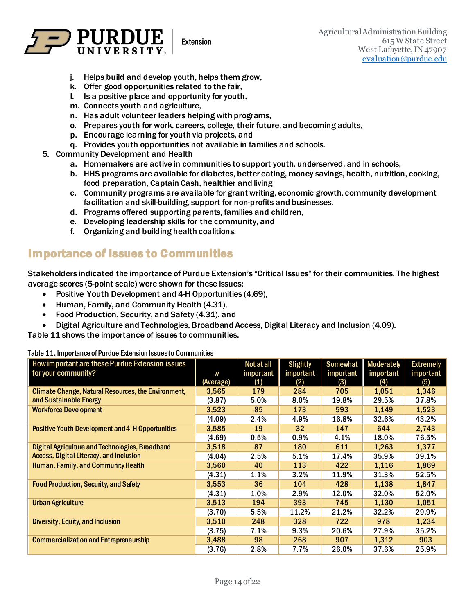

- j. Helps build and develop youth, helps them grow,
- k. Offer good opportunities related to the fair,
- l. Is a positive place and opportunity for youth,
- m. Connects youth and agriculture,
- n. Has adult volunteer leaders helping with programs,
- o. Prepares youth for work, careers, college, their future, and becoming adults,
- p. Encourage learning for youth via projects, and
- q. Provides youth opportunities not available in families and schools.
- 5. Community Development and Health
	- a. Homemakers are active in communities to support youth, underserved, and in schools,
	- b. HHS programs are available for diabetes, better eating, money savings, health, nutrition, cooking, food preparation, Captain Cash, healthier and living
	- c. Community programs are available for grant writing, economic growth, community development facilitation and skill-building, support for non-profits and businesses,
	- d. Programs offered supporting parents, families and children,
	- e. Developing leadership skills for the community, and
	- f. Organizing and building health coalitions.

## Importance of Issues to Communities

Stakeholders indicated the importance of Purdue Extension's "Critical Issues" for their communities. The highest average scores (5-point scale) were shown for these issues:

- Positive Youth Development and 4-H Opportunities (4.69),
- Human, Family, and Community Health (4.31),
- Food Production, Security, and Safety (4.31), and
- Digital Agriculture and Technologies, Broadband Access, Digital Literacy and Inclusion (4.09).

Table 11 shows the importance of issues to communities.

Table 11. Importance of Purdue Extension Issues to Communities

| How important are these Purdue Extension issues         |           | Not at all | <b>Slightly</b> | <b>Somewhat</b> | <b>Moderately</b> | <b>Extremely</b> |
|---------------------------------------------------------|-----------|------------|-----------------|-----------------|-------------------|------------------|
| for your community?                                     | n         | important  | important       | important       | important         | important        |
|                                                         | (Average) | (1)        | (2)             | (3)             | (4)               | (5)              |
| Climate Change, Natural Resources, the Environment,     | 3,565     | 179        | 284             | 705             | 1,051             | 1,346            |
| and Sustainable Energy                                  | (3.87)    | 5.0%       | 8.0%            | 19.8%           | 29.5%             | 37.8%            |
| <b>Workforce Development</b>                            | 3,523     | 85         | 173             | 593             | 1,149             | 1,523            |
|                                                         | (4.09)    | 2.4%       | 4.9%            | 16.8%           | 32.6%             | 43.2%            |
| <b>Positive Youth Development and 4-H Opportunities</b> | 3,585     | 19         | 32              | 147             | 644               | 2,743            |
|                                                         | (4.69)    | $0.5\%$    | 0.9%            | 4.1%            | 18.0%             | 76.5%            |
| Digital Agriculture and Technologies, Broadband         | 3,518     | 87         | <b>180</b>      | 611             | 1,263             | 1,377            |
| Access, Digital Literacy, and Inclusion                 | (4.04)    | 2.5%       | 5.1%            | 17.4%           | 35.9%             | 39.1%            |
| Human, Family, and Community Health                     | 3,560     | 40         | 113             | 422             | 1,116             | 1,869            |
|                                                         | (4.31)    | 1.1%       | 3.2%            | 11.9%           | 31.3%             | 52.5%            |
| <b>Food Production, Security, and Safety</b>            | 3,553     | 36         | 104             | 428             | 1,138             | 1,847            |
|                                                         | (4.31)    | 1.0%       | 2.9%            | 12.0%           | 32.0%             | 52.0%            |
| <b>Urban Agriculture</b>                                | 3,513     | 194        | 393             | 745             | 1,130             | 1,051            |
|                                                         | (3.70)    | 5.5%       | 11.2%           | 21.2%           | 32.2%             | 29.9%            |
| <b>Diversity, Equity, and Inclusion</b>                 | 3,510     | 248        | 328             | 722             | 978               | 1,234            |
|                                                         | (3.75)    | 7.1%       | 9.3%            | 20.6%           | 27.9%             | 35.2%            |
| <b>Commercialization and Entrepreneurship</b>           | 3,488     | 98         | 268             | 907             | 1,312             | 903              |
|                                                         | (3.76)    | 2.8%       | 7.7%            | 26.0%           | 37.6%             | 25.9%            |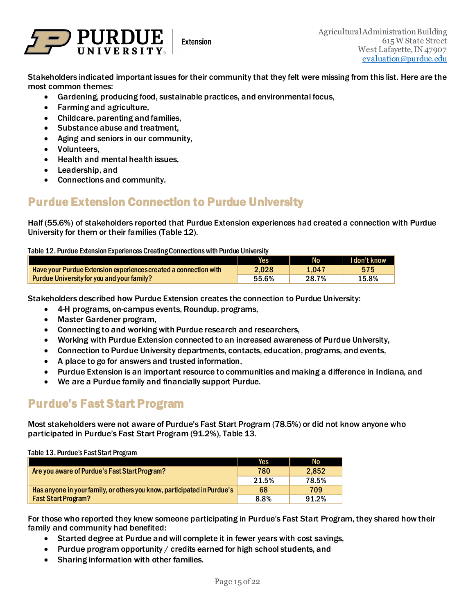

Stakeholders indicated important issues for their community that they felt were missing from this list. Here are the most common themes:

- Gardening, producing food, sustainable practices, and environmental focus,
- Farming and agriculture,
- Childcare, parenting and families,
- Substance abuse and treatment,
- Aging and seniors in our community,
- Volunteers,
- Health and mental health issues,
- Leadership, and
- Connections and community.

## Purdue Extension Connection to Purdue University

Half (55.6%) of stakeholders reported that Purdue Extension experiences had created a connection with Purdue University for them or their families (Table 12).

#### Table 12. Purdue Extension Experiences Creating Connections with Purdue University

|                                                                  | Yes   | No    | I don't know |
|------------------------------------------------------------------|-------|-------|--------------|
| Have your Purdue Extension experiences created a connection with | 2.028 | 1.047 | 575          |
| Purdue University for you and your family?                       | 55.6% | 28.7% | 15.8%        |

Stakeholders described how Purdue Extension creates the connection to Purdue University:

- 4-H programs, on-campus events, Roundup, programs,
- Master Gardener program,
- Connecting to and working with Purdue research and researchers,
- Working with Purdue Extension connected to an increased awareness of Purdue University,
- Connection to Purdue University departments, contacts, education, programs, and events,
- A place to go for answers and trusted information,
- Purdue Extension is an important resource to communities and making a difference in Indiana, and
- We are a Purdue family and financially support Purdue.

## Purdue's Fast Start Program

Most stakeholders were not aware of Purdue's Fast Start Program (78.5%) or did not know anyone who participated in Purdue's Fast Start Program (91.2%), Table 13.

#### Table 13. Purdue's Fast Start Program

|                                                                         | Yes   | No    |
|-------------------------------------------------------------------------|-------|-------|
| Are you aware of Purdue's Fast Start Program?                           | 780   | 2.852 |
|                                                                         | 21.5% | 78.5% |
| Has anyone in your family, or others you know, participated in Purdue's | 68    | 709   |
| <b>Fast Start Program?</b>                                              | 8.8%  | 91.2% |

For those who reported they knew someone participating in Purdue's Fast Start Program, they shared how their family and community had benefited:

- Started degree at Purdue and will complete it in fewer years with cost savings,
- Purdue program opportunity / credits earned for high school students, and
- Sharing information with other families.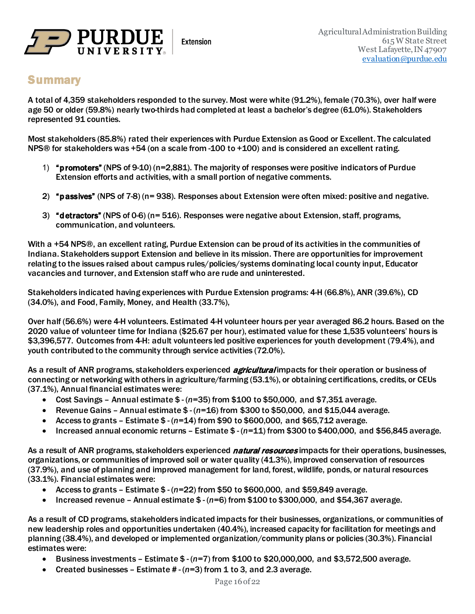

### **Summary**

A total of 4,359 stakeholders responded to the survey. Most were white (91.2%), female (70.3%), over half were age 50 or older (59.8%) nearly two-thirds had completed at least a bachelor's degree (61.0%). Stakeholders represented 91 counties.

Most stakeholders (85.8%) rated their experiences with Purdue Extension as Good or Excellent. The calculated NPS® for stakeholders was +54 (on a scale from -100 to +100) and is considered an excellent rating.

- 1) "promoters" (NPS of 9-10) (n=2,881). The majority of responses were positive indicators of Purdue Extension efforts and activities, with a small portion of negative comments.
- 2) "passives" (NPS of 7-8) (n= 938). Responses about Extension were often mixed: positive and negative.
- 3) "detractors" (NPS of 0-6) (n= 516). Responses were negative about Extension, staff, programs, communication, and volunteers.

With a +54 NPS®, an excellent rating, Purdue Extension can be proud of its activities in the communities of Indiana. Stakeholders support Extension and believe in its mission. There are opportunities for improvement relating to the issues raised about campus rules/policies/systems dominating local county input, Educator vacancies and turnover, and Extension staff who are rude and uninterested.

Stakeholders indicated having experiences with Purdue Extension programs: 4-H (66.8%), ANR (39.6%), CD (34.0%), and Food, Family, Money, and Health (33.7%),

Over half (56.6%) were 4-H volunteers. Estimated 4-H volunteer hours per year averaged 86.2 hours. Based on the 2020 value of volunteer time for Indiana (\$25.67 per hour), estimated value for these 1,535 volunteers' hours is \$3,396,577. Outcomes from 4-H: adult volunteers led positive experiences for youth development (79.4%), and youth contributed to the community through service activities (72.0%).

As a result of ANR programs, stakeholders experienced *agricultural* impacts for their operation or business of connecting or networking with others in agriculture/farming (53.1%), or obtaining certifications, credits, or CEUs (37.1%), Annual financial estimates were:

- Cost Savings Annual estimate \$ (*n*=35) from \$100 to \$50,000, and \$7,351 average.
- Revenue Gains Annual estimate \$ (*n*=16) from \$300 to \$50,000, and \$15,044 average.
- Access to grants Estimate \$ (*n*=14) from \$90 to \$600,000, and \$65,712 average.
- Increased annual economic returns Estimate \$ (*n*=11) from \$300 to \$400,000, and \$56,845 average.

As a result of ANR programs, stakeholders experienced *natural resources* impacts for their operations, businesses, organizations, or communities of improved soil or water quality (41.3%), improved conservation of resources (37.9%), and use of planning and improved management for land, forest, wildlife, ponds, or natural resources (33.1%). Financial estimates were:

- Access to grants Estimate \$ (*n*=22) from \$50 to \$600,000, and \$59,849 average.
- Increased revenue Annual estimate \$ (*n*=6) from \$100 to \$300,000, and \$54,367 average.

As a result of CD programs, stakeholders indicated impacts for their businesses, organizations, or communities of new leadership roles and opportunities undertaken (40.4%), increased capacity for facilitation for meetings and planning (38.4%), and developed or implemented organization/community plans or policies (30.3%). Financial estimates were:

- Business investments Estimate \$ (*n*=7) from \$100 to \$20,000,000, and \$3,572,500 average.
- Created businesses Estimate # (*n*=3) from 1 to 3, and 2.3 average.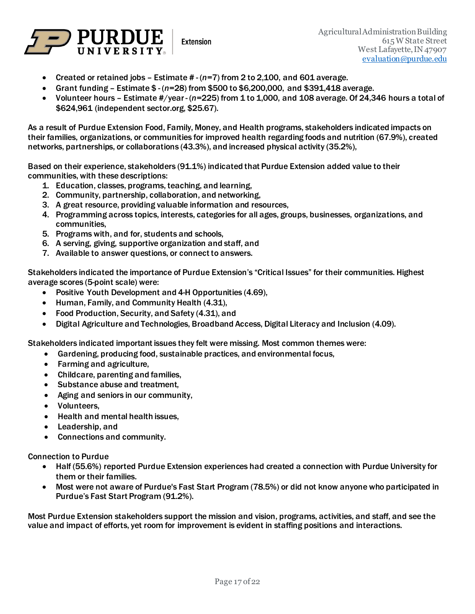

- Created or retained jobs Estimate # (*n*=7) from 2 to 2,100, and 601 average.
- Grant funding Estimate \$ (*n*=28) from \$500 to \$6,200,000, and \$391,418 average.
- Volunteer hours Estimate #/year (*n*=225) from 1 to 1,000, and 108 average. Of 24,346 hours a total of \$624,961 (independent sector.org, \$25.67).

As a result of Purdue Extension Food, Family, Money, and Health programs, stakeholders indicated impacts on their families, organizations, or communities for improved health regarding foods and nutrition (67.9%), created networks, partnerships, or collaborations (43.3%), and increased physical activity (35.2%),

Based on their experience, stakeholders (91.1%) indicated that Purdue Extension added value to their communities, with these descriptions:

- 1. Education, classes, programs, teaching, and learning,
- 2. Community, partnership, collaboration, and networking,
- 3. A great resource, providing valuable information and resources,
- 4. Programming across topics, interests, categories for all ages, groups, businesses, organizations, and communities,
- 5. Programs with, and for, students and schools,
- 6. A serving, giving, supportive organization and staff, and
- 7. Available to answer questions, or connect to answers.

Stakeholders indicated the importance of Purdue Extension's "Critical Issues" for their communities. Highest average scores (5-point scale) were:

- Positive Youth Development and 4-H Opportunities (4.69),
- Human, Family, and Community Health (4.31),
- Food Production, Security, and Safety (4.31), and
- Digital Agriculture and Technologies, Broadband Access, Digital Literacy and Inclusion (4.09).

Stakeholders indicated important issues they felt were missing. Most common themes were:

- Gardening, producing food, sustainable practices, and environmental focus,
- Farming and agriculture,
- Childcare, parenting and families,
- Substance abuse and treatment,
- Aging and seniors in our community,
- Volunteers,
- Health and mental health issues,
- Leadership, and
- Connections and community.

Connection to Purdue

- Half (55.6%) reported Purdue Extension experiences had created a connection with Purdue University for them or their families.
- Most were not aware of Purdue's Fast Start Program (78.5%) or did not know anyone who participated in Purdue's Fast Start Program (91.2%).

Most Purdue Extension stakeholders support the mission and vision, programs, activities, and staff, and see the value and impact of efforts, yet room for improvement is evident in staffing positions and interactions.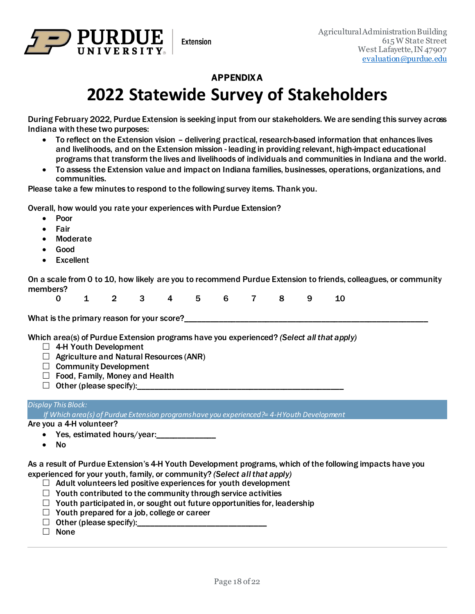

### APPENDIX A

## **2022 Statewide Survey of Stakeholders**

During February 2022, Purdue Extension is seeking input from our stakeholders. We are sending this survey across Indiana with these two purposes:

- To reflect on the Extension vision delivering practical, research-based information that enhances lives and livelihoods, and on the Extension mission - leading in providing relevant, high-impact educational programs that transform the lives and livelihoods of individuals and communities in Indiana and the world.
- To assess the Extension value and impact on Indiana families, businesses, operations, organizations, and communities.

Please take a few minutes to respond to the following survey items. Thank you.

Overall, how would you rate your experiences with Purdue Extension?

- Poor
- **Fair**
- **Moderate**
- Good
- **Excellent**

On a scale from 0 to 10, how likely are you to recommend Purdue Extension to friends, colleagues, or community members?<br>0

0 1 2 3 4 5 6 7 8 9 10

What is the primary reason for your score?\_\_\_\_\_\_\_\_\_\_\_\_\_\_\_\_\_\_\_\_\_\_\_\_\_\_\_\_\_\_\_\_\_\_\_\_\_\_\_\_\_\_\_\_\_\_\_\_\_\_\_\_\_\_\_\_\_

Which area(s) of Purdue Extension programs have you experienced? *(Select all that apply)*

- $\Box$  4-H Youth Development
- $\Box$  Agriculture and Natural Resources (ANR)
- $\Box$  Community Development
- $\Box$  Food, Family, Money and Health
- $\Box$  Other (please specify):

#### *Display This Block:*

*If Which area(s) of Purdue Extension programs have you experienced?= 4-H Youth Development*

Are you a 4-H volunteer?

- Yes, estimated hours/year:\_\_\_\_\_\_\_\_\_\_\_\_\_\_
- No

As a result of Purdue Extension's 4-H Youth Development programs, which of the following impacts have you experienced for your youth, family, or community? *(Select all that apply)*

- $\Box$  Adult volunteers led positive experiences for youth development
- $\Box$  Youth contributed to the community through service activities
- $\Box$  Youth participated in, or sought out future opportunities for, leadership
- $\Box$  Youth prepared for a job, college or career
- Other (please specify):\_\_\_\_\_\_\_\_\_\_\_\_\_\_\_\_\_\_\_\_\_\_\_\_\_\_\_\_\_\_
- $\Box$  None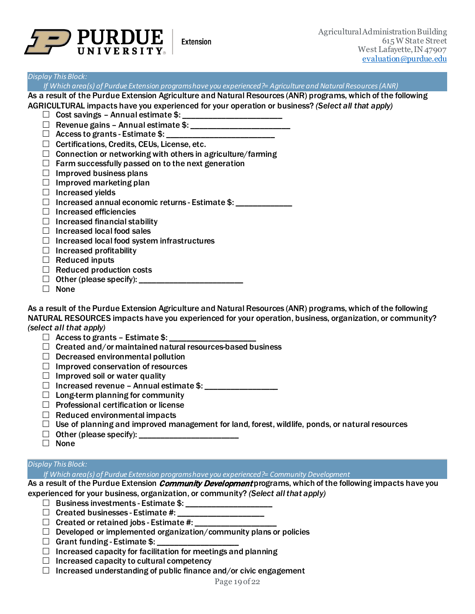

#### *Display This Block:*

*If Which area(s) of Purdue Extension programs have you experienced?= Agriculture and Natural Resources (ANR)*

As a result of the Purdue Extension Agriculture and Natural Resources (ANR) programs, which of the following AGRICULTURAL impacts have you experienced for your operation or business? *(Select all that apply)*

- $\Box$  Cost savings Annual estimate \$:  $\Box$
- $\Box$  Revenue gains Annual estimate \$:
- $\Box$  Access to grants Estimate \$:  $\Box$
- $\Box$  Certifications, Credits, CEUs, License, etc.
- $\Box$  Connection or networking with others in agriculture/farming
- $\Box$  Farm successfully passed on to the next generation
- $\Box$  Improved business plans
- $\Box$  Improved marketing plan
- $\Box$  Increased yields
- $\Box$  Increased annual economic returns Estimate \$:
- $\Box$  Increased efficiencies
- $\Box$  Increased financial stability
- $\Box$  Increased local food sales
- $\Box$  Increased local food system infrastructures
- $\Box$  Increased profitability
- $\Box$  Reduced inputs
- $\Box$  Reduced production costs
- Other (please specify): \_\_\_\_\_\_\_\_\_\_\_\_\_\_\_\_\_\_\_\_\_\_\_\_
- $\Box$  None

As a result of the Purdue Extension Agriculture and Natural Resources (ANR) programs, which of the following NATURAL RESOURCES impacts have you experienced for your operation, business, organization, or community? *(select all that apply)*

- $\Box$  Access to grants Estimate \$:
- $\Box$  Created and/or maintained natural resources-based business
- $\Box$  Decreased environmental pollution
- $\Box$  Improved conservation of resources
- $\Box$  Improved soil or water quality
- $\Box$  Increased revenue Annual estimate \$:
- $\Box$  Long-term planning for community
- $\Box$  Professional certification or license
- $\Box$  Reduced environmental impacts
- $\Box$  Use of planning and improved management for land, forest, wildlife, ponds, or natural resources
- Other (please specify): \_\_\_\_\_\_\_\_\_\_\_\_\_\_\_\_\_\_\_\_\_\_\_
- $\Box$  None

#### *Display This Block:*

*If Which area(s) of Purdue Extension programs have you experienced?= Community Development*

As a result of the Purdue Extension *Community Development* programs, which of the following impacts have you experienced for your business, organization, or community? *(Select all that apply)*

- Business investments Estimate \$: \_\_\_\_\_\_\_\_\_\_\_\_\_\_\_\_\_\_\_\_
- $\Box$  Created businesses Estimate #:
- $\Box$  Created or retained jobs Estimate #:
- $\Box$  Developed or implemented organization/community plans or policies
- $\Box$  Grant funding Estimate \$:  $\Box$
- $\Box$  Increased capacity for facilitation for meetings and planning
- $\Box$  Increased capacity to cultural competency
- $\Box$  Increased understanding of public finance and/or civic engagement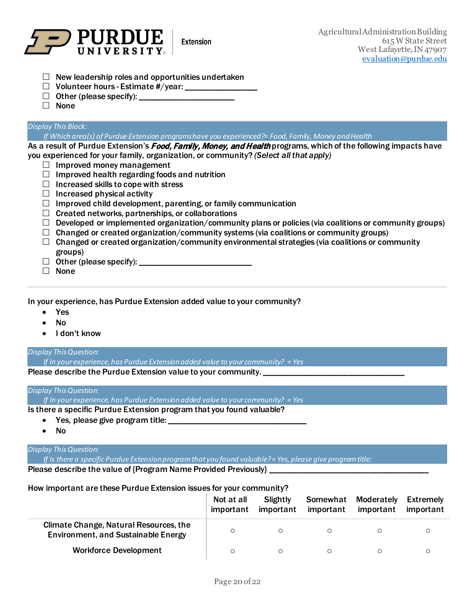

- $\Box$  New leadership roles and opportunities undertaken
- $\Box$  Volunteer hours Estimate #/year: \_\_\_\_\_\_\_\_\_\_\_\_\_\_
- $\Box$  Other (please specify): \_\_\_\_\_\_\_\_\_\_\_\_
- □ None

#### *Display This Block:*

*If Which area(s) of Purdue Extension programs have you experienced?= Food, Family, Money and Health*

As a result of Purdue Extension's Food, Family, Money, and Health programs, which of the following impacts have you experienced for your family, organization, or community? *(Select all that apply)*

- $\Box$  Improved money management
- $\Box$  Improved health regarding foods and nutrition
- $\Box$  Increased skills to cope with stress
- $\Box$  Increased physical activity
- $\Box$  Improved child development, parenting, or family communication
- $\Box$  Created networks, partnerships, or collaborations
- $\Box$  Developed or implemented organization/community plans or policies (via coalitions or community groups)
- $\Box$  Changed or created organization/community systems (via coalitions or community groups)
- $\Box$  Changed or created organization/community environmental strategies (via coalitions or community groups)
- Other (please specify): \_\_\_\_\_\_\_\_\_\_\_\_\_\_\_\_\_\_\_\_\_\_\_\_\_\_
- None

In your experience, has Purdue Extension added value to your community?

- Yes
- No
- I don't know

#### *Display This Question:*

*If In your experience, has Purdue Extension added value to your community? = Yes*

Please describe the Purdue Extension value to your community.

#### *Display This Question:*

*If In your experience, has Purdue Extension added value to your community? = Yes*

Is there a specific Purdue Extension program that you found valuable?

- Yes, please give program title:
- No

#### *Display This Question:*

*If Is there a specific Purdue Extension program that you found valuable? = Yes, please give program title:*

Please describe the value of {Program Name Provided Previously} \_\_\_

#### How important are these Purdue Extension issues for your community?

|                                                                                      | Not at all<br>important | Slightly<br>important | Somewhat<br>important | Moderately<br>important | Extremelv<br>important |
|--------------------------------------------------------------------------------------|-------------------------|-----------------------|-----------------------|-------------------------|------------------------|
| Climate Change, Natural Resources, the<br><b>Environment, and Sustainable Energy</b> | O                       |                       |                       |                         |                        |
| <b>Workforce Development</b>                                                         | O                       |                       |                       |                         |                        |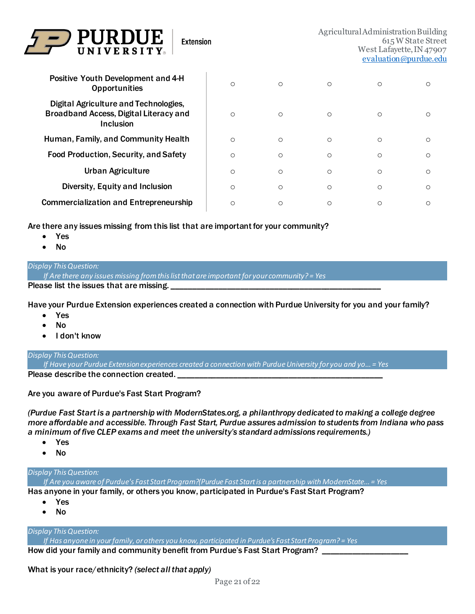| URDUE<br><b>Extension</b><br><b>UNIVERSITY</b>                                                      |         |         | Agricultural Administration Building<br>615 W State Street<br>West Lafayette, IN 47907<br>evaluation@purdue.edu |         |         |  |
|-----------------------------------------------------------------------------------------------------|---------|---------|-----------------------------------------------------------------------------------------------------------------|---------|---------|--|
| Positive Youth Development and 4-H<br><b>Opportunities</b>                                          | $\circ$ | $\circ$ | $\circ$                                                                                                         | $\circ$ | $\circ$ |  |
| Digital Agriculture and Technologies,<br>Broadband Access, Digital Literacy and<br><b>Inclusion</b> | $\circ$ | $\circ$ | $\circ$                                                                                                         | $\circ$ | $\circ$ |  |
| Human, Family, and Community Health                                                                 | $\circ$ | $\circ$ | $\circ$                                                                                                         | $\circ$ | $\circ$ |  |
| <b>Food Production, Security, and Safety</b>                                                        | $\circ$ | $\circ$ | $\circ$                                                                                                         | $\circ$ | $\circ$ |  |
| <b>Urban Agriculture</b>                                                                            | O       | $\circ$ | $\circ$                                                                                                         | $\circ$ | $\circ$ |  |
| Diversity, Equity and Inclusion                                                                     | $\circ$ | $\circ$ | $\circ$                                                                                                         | $\circ$ | $\circ$ |  |
| <b>Commercialization and Entrepreneurship</b>                                                       | $\circ$ | $\circ$ | $\circ$                                                                                                         | $\circ$ | O       |  |

Are there any issues missing from this list that are important for your community?

- Yes
- No

#### *Display This Question:*

*If Are there any issues missing from this list that are important for your community? = Yes*

Please list the issues that are missing.

Have your Purdue Extension experiences created a connection with Purdue University for you and your family?

- Yes
- No
- I don't know

#### *Display This Question:*

*If Have your Purdue Extension experiences created a connection with Purdue University for you and yo... = Yes* Please describe the connection created.

Are you aware of Purdue's Fast Start Program?

*(Purdue Fast Start is a partnership with ModernStates.org, a philanthropy dedicated to making a college degree more affordable and accessible. Through Fast Start, Purdue assures admission to students from Indiana who pass a minimum of five CLEP exams and meet the university's standard admissions requirements.)*

- Yes
- No

#### *Display This Question:*

*If Are you aware of Purdue's Fast Start Program?(Purdue Fast Start is a partnership with ModernState... = Yes* Has anyone in your family, or others you know, participated in Purdue's Fast Start Program?

- Yes
- No

#### *Display This Question:*

*If Has anyone in your family, or others you know, participated in Purdue's Fast Start Program? = Yes*

How did your family and community benefit from Purdue's Fast Start Program?

What is your race/ethnicity? *(select all that apply)*